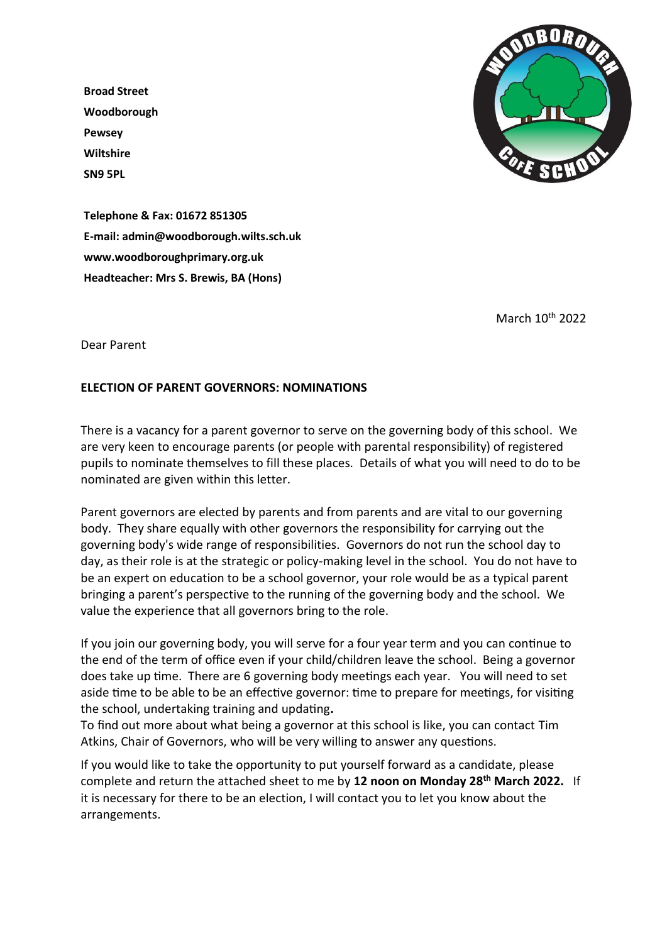**Broad Street Woodborough Pewsey Wiltshire SN9 5PL**



**Telephone & Fax: 01672 851305 E-mail: admin@woodborough.wilts.sch.uk www.woodboroughprimary.org.uk Headteacher: Mrs S. Brewis, BA (Hons)**

March 10th 2022

Dear Parent

## **ELECTION OF PARENT GOVERNORS: NOMINATIONS**

There is a vacancy for a parent governor to serve on the governing body of this school. We are very keen to encourage parents (or people with parental responsibility) of registered pupils to nominate themselves to fill these places. Details of what you will need to do to be nominated are given within this letter.

Parent governors are elected by parents and from parents and are vital to our governing body. They share equally with other governors the responsibility for carrying out the governing body's wide range of responsibilities. Governors do not run the school day to day, as their role is at the strategic or policy-making level in the school. You do not have to be an expert on education to be a school governor, your role would be as a typical parent bringing a parent's perspective to the running of the governing body and the school. We value the experience that all governors bring to the role.

If you join our governing body, you will serve for a four year term and you can continue to the end of the term of office even if your child/children leave the school. Being a governor does take up time. There are 6 governing body meetings each year. You will need to set aside time to be able to be an effective governor: time to prepare for meetings, for visiting the school, undertaking training and updating**.** 

To find out more about what being a governor at this school is like, you can contact Tim Atkins, Chair of Governors, who will be very willing to answer any questions.

If you would like to take the opportunity to put yourself forward as a candidate, please complete and return the attached sheet to me by **12 noon on Monday 28th March 2022.** If it is necessary for there to be an election, I will contact you to let you know about the arrangements.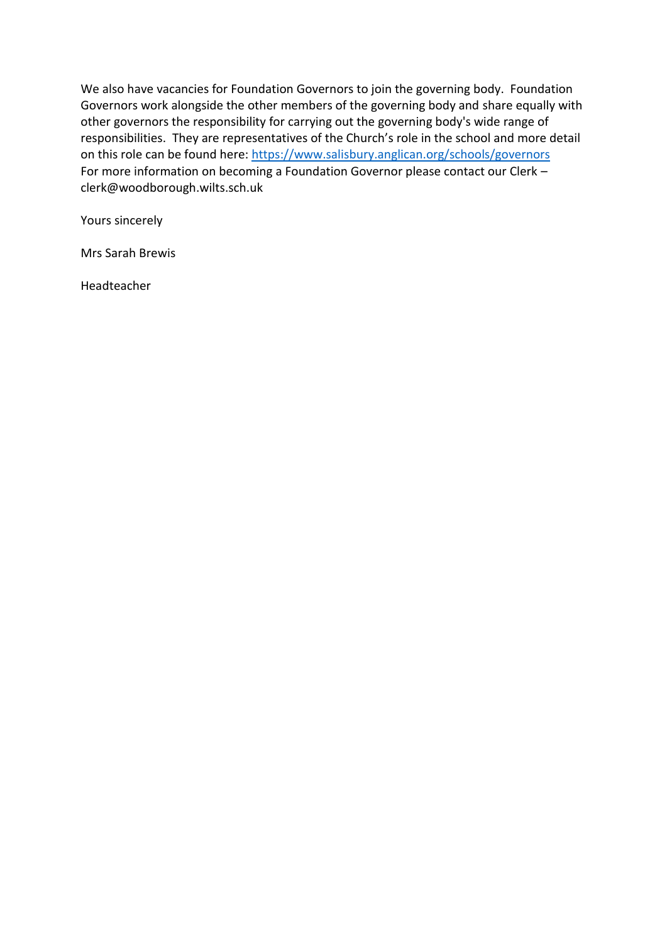We also have vacancies for Foundation Governors to join the governing body. Foundation Governors work alongside the other members of the governing body and share equally with other governors the responsibility for carrying out the governing body's wide range of responsibilities. They are representatives of the Church's role in the school and more detail on this role can be found here:<https://www.salisbury.anglican.org/schools/governors> For more information on becoming a Foundation Governor please contact our Clerk – clerk@woodborough.wilts.sch.uk

Yours sincerely

Mrs Sarah Brewis

Headteacher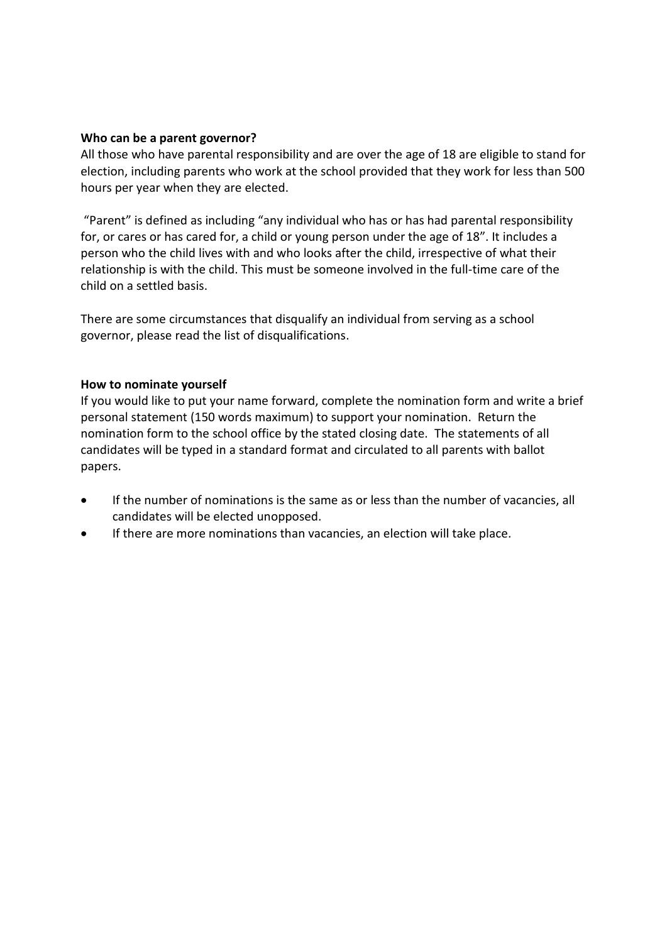## **Who can be a parent governor?**

All those who have parental responsibility and are over the age of 18 are eligible to stand for election, including parents who work at the school provided that they work for less than 500 hours per year when they are elected.

"Parent" is defined as including "any individual who has or has had parental responsibility for, or cares or has cared for, a child or young person under the age of 18". It includes a person who the child lives with and who looks after the child, irrespective of what their relationship is with the child. This must be someone involved in the full-time care of the child on a settled basis.

There are some circumstances that disqualify an individual from serving as a school governor, please read the list of disqualifications.

## **How to nominate yourself**

If you would like to put your name forward, complete the nomination form and write a brief personal statement (150 words maximum) to support your nomination. Return the nomination form to the school office by the stated closing date. The statements of all candidates will be typed in a standard format and circulated to all parents with ballot papers.

- If the number of nominations is the same as or less than the number of vacancies, all candidates will be elected unopposed.
- If there are more nominations than vacancies, an election will take place.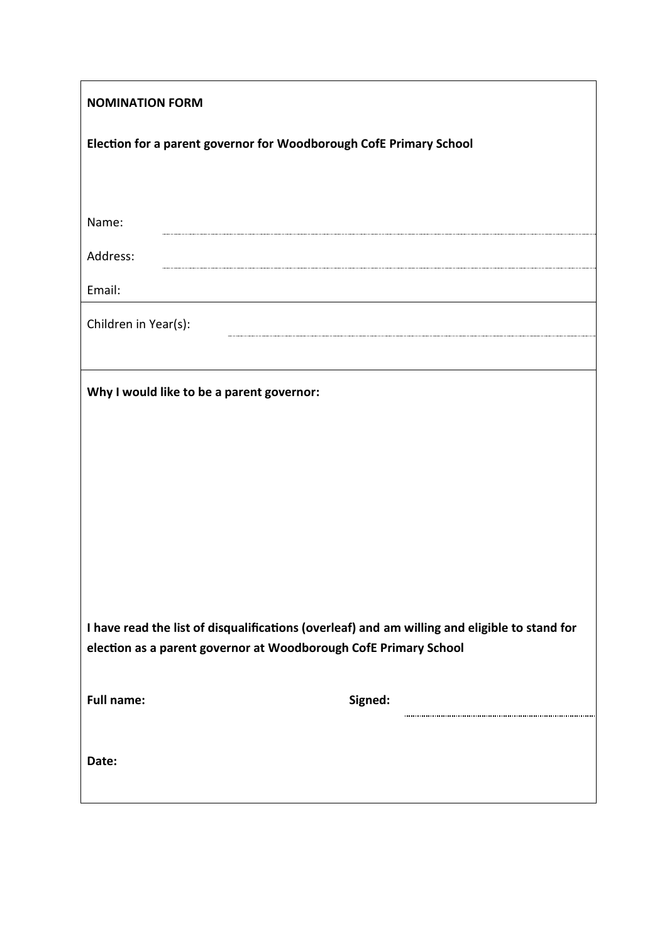| <b>NOMINATION FORM</b>                                                                                                                                            |         |
|-------------------------------------------------------------------------------------------------------------------------------------------------------------------|---------|
| Election for a parent governor for Woodborough CofE Primary School                                                                                                |         |
|                                                                                                                                                                   |         |
| Name:                                                                                                                                                             |         |
| Address:                                                                                                                                                          |         |
| Email:                                                                                                                                                            |         |
| Children in Year(s):                                                                                                                                              |         |
|                                                                                                                                                                   |         |
| Why I would like to be a parent governor:                                                                                                                         |         |
|                                                                                                                                                                   |         |
|                                                                                                                                                                   |         |
|                                                                                                                                                                   |         |
|                                                                                                                                                                   |         |
|                                                                                                                                                                   |         |
|                                                                                                                                                                   |         |
| I have read the list of disqualifications (overleaf) and am willing and eligible to stand for<br>election as a parent governor at Woodborough CofE Primary School |         |
| <b>Full name:</b>                                                                                                                                                 | Signed: |
| Date:                                                                                                                                                             |         |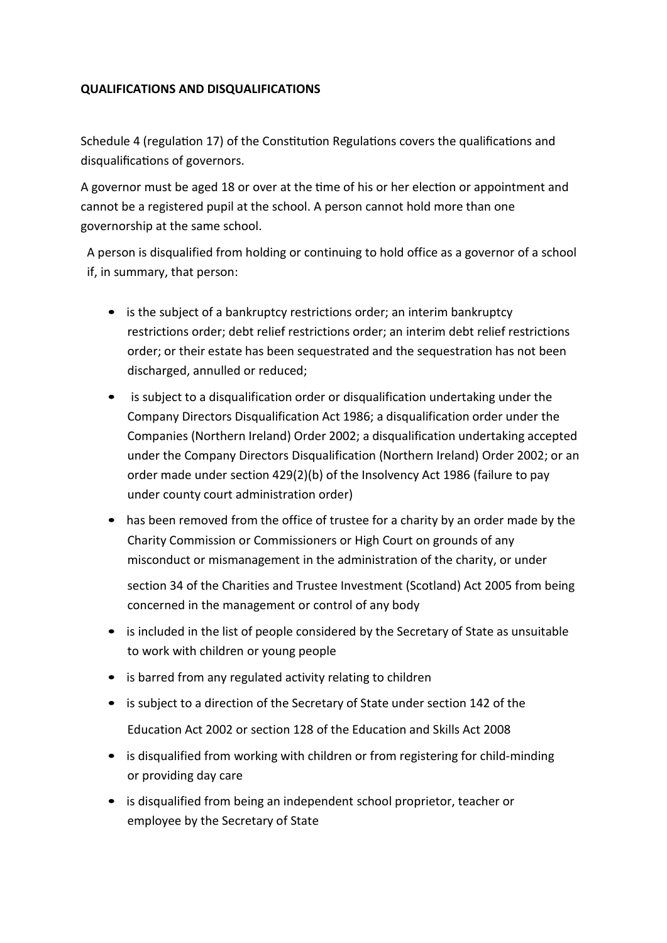## **QUALIFICATIONS AND DISQUALIFICATIONS**

Schedule 4 (regulation 17) of the Constitution Regulations covers the qualifications and disqualifications of governors.

A governor must be aged 18 or over at the time of his or her election or appointment and cannot be a registered pupil at the school. A person cannot hold more than one governorship at the same school.

A person is disqualified from holding or continuing to hold office as a governor of a school if, in summary, that person:

- is the subject of a bankruptcy restrictions order; an interim bankruptcy restrictions order; debt relief restrictions order; an interim debt relief restrictions order; or their estate has been sequestrated and the sequestration has not been discharged, annulled or reduced;
- is subject to a disqualification order or disqualification undertaking under the Company Directors Disqualification Act 1986; a disqualification order under the Companies (Northern Ireland) Order 2002; a disqualification undertaking accepted under the Company Directors Disqualification (Northern Ireland) Order 2002; or an order made under section 429(2)(b) of the Insolvency Act 1986 (failure to pay under county court administration order)
- has been removed from the office of trustee for a charity by an order made by the Charity Commission or Commissioners or High Court on grounds of any misconduct or mismanagement in the administration of the charity, or under

section 34 of the Charities and Trustee Investment (Scotland) Act 2005 from being concerned in the management or control of any body

- is included in the list of people considered by the Secretary of State as unsuitable to work with children or young people
- is barred from any regulated activity relating to children
- is subject to a direction of the Secretary of State under section 142 of the Education Act 2002 or section 128 of the Education and Skills Act 2008
- is disqualified from working with children or from registering for child-minding or providing day care
- is disqualified from being an independent school proprietor, teacher or employee by the Secretary of State